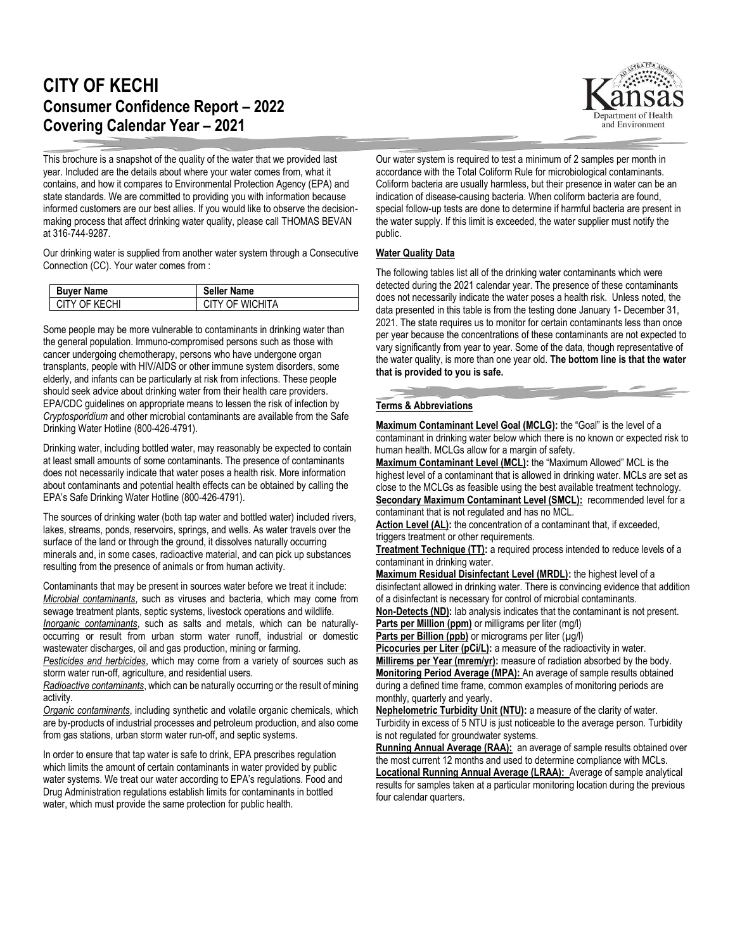## **CITY OF KECHI Consumer Confidence Report – 2022 Covering Calendar Year – 2021**

This brochure is a snapshot of the quality of the water that we provided last year. Included are the details about where your water comes from, what it contains, and how it compares to Environmental Protection Agency (EPA) and state standards. We are committed to providing you with information because informed customers are our best allies. If you would like to observe the decisionmaking process that affect drinking water quality, please call THOMAS BEVAN at 316-744-9287.

Our drinking water is supplied from another water system through a Consecutive Connection (CC). Your water comes from :

| <b>Buyer Name</b> | <b>Seller Name</b> |  |  |  |  |  |
|-------------------|--------------------|--|--|--|--|--|
| CITY OF KECHI     | CITY OF WICHITA    |  |  |  |  |  |

Some people may be more vulnerable to contaminants in drinking water than the general population. Immuno-compromised persons such as those with cancer undergoing chemotherapy, persons who have undergone organ transplants, people with HIV/AIDS or other immune system disorders, some elderly, and infants can be particularly at risk from infections. These people should seek advice about drinking water from their health care providers. EPA/CDC guidelines on appropriate means to lessen the risk of infection by *Cryptosporidium* and other microbial contaminants are available from the Safe Drinking Water Hotline (800-426-4791).

Drinking water, including bottled water, may reasonably be expected to contain at least small amounts of some contaminants. The presence of contaminants does not necessarily indicate that water poses a health risk. More information about contaminants and potential health effects can be obtained by calling the EPA's Safe Drinking Water Hotline (800-426-4791).

The sources of drinking water (both tap water and bottled water) included rivers, lakes, streams, ponds, reservoirs, springs, and wells. As water travels over the surface of the land or through the ground, it dissolves naturally occurring minerals and, in some cases, radioactive material, and can pick up substances resulting from the presence of animals or from human activity.

Contaminants that may be present in sources water before we treat it include: *Microbial contaminants*, such as viruses and bacteria, which may come from sewage treatment plants, septic systems, livestock operations and wildlife. *Inorganic contaminants*, such as salts and metals, which can be naturallyoccurring or result from urban storm water runoff, industrial or domestic wastewater discharges, oil and gas production, mining or farming.

*Pesticides and herbicides*, which may come from a variety of sources such as storm water run-off, agriculture, and residential users.

*Radioactive contaminants*, which can be naturally occurring or the result of mining activity.

*Organic contaminants*, including synthetic and volatile organic chemicals, which are by-products of industrial processes and petroleum production, and also come from gas stations, urban storm water run-off, and septic systems.

In order to ensure that tap water is safe to drink, EPA prescribes regulation which limits the amount of certain contaminants in water provided by public water systems. We treat our water according to EPA's regulations. Food and Drug Administration regulations establish limits for contaminants in bottled water, which must provide the same protection for public health.



Our water system is required to test a minimum of 2 samples per month in accordance with the Total Coliform Rule for microbiological contaminants. Coliform bacteria are usually harmless, but their presence in water can be an indication of disease-causing bacteria. When coliform bacteria are found, special follow-up tests are done to determine if harmful bacteria are present in the water supply. If this limit is exceeded, the water supplier must notify the public.

## **Water Quality Data**

The following tables list all of the drinking water contaminants which were detected during the 2021 calendar year. The presence of these contaminants does not necessarily indicate the water poses a health risk. Unless noted, the data presented in this table is from the testing done January 1- December 31, 2021. The state requires us to monitor for certain contaminants less than once per year because the concentrations of these contaminants are not expected to vary significantly from year to year. Some of the data, though representative of the water quality, is more than one year old. **The bottom line is that the water that is provided to you is safe.**

## **Terms & Abbreviations**

**Maximum Contaminant Level Goal (MCLG):** the "Goal" is the level of a contaminant in drinking water below which there is no known or expected risk to human health. MCLGs allow for a margin of safety.

**Maximum Contaminant Level (MCL):** the "Maximum Allowed" MCL is the highest level of a contaminant that is allowed in drinking water. MCLs are set as close to the MCLGs as feasible using the best available treatment technology. **Secondary Maximum Contaminant Level (SMCL):** recommended level for a contaminant that is not regulated and has no MCL.

Action Level (AL): the concentration of a contaminant that, if exceeded, triggers treatment or other requirements.

**Treatment Technique (TT):** a required process intended to reduce levels of a contaminant in drinking water.

**Maximum Residual Disinfectant Level (MRDL):** the highest level of a disinfectant allowed in drinking water. There is convincing evidence that addition of a disinfectant is necessary for control of microbial contaminants.

**Non-Detects (ND):** lab analysis indicates that the contaminant is not present. **Parts per Million (ppm)** or milligrams per liter (mg/l)

**Parts per Billion (ppb)** or micrograms per liter ( $\mu$ g/l)

Picocuries per Liter (pCi/L): a measure of the radioactivity in water.

**Millirems per Year (mrem/yr):** measure of radiation absorbed by the body. **Monitoring Period Average (MPA):** An average of sample results obtained during a defined time frame, common examples of monitoring periods are monthly, quarterly and yearly.

**Nephelometric Turbidity Unit (NTU):** a measure of the clarity of water. Turbidity in excess of 5 NTU is just noticeable to the average person. Turbidity is not regulated for groundwater systems.

**Running Annual Average (RAA):** an average of sample results obtained over the most current 12 months and used to determine compliance with MCLs. **Locational Running Annual Average (LRAA):** Average of sample analytical results for samples taken at a particular monitoring location during the previous four calendar quarters.